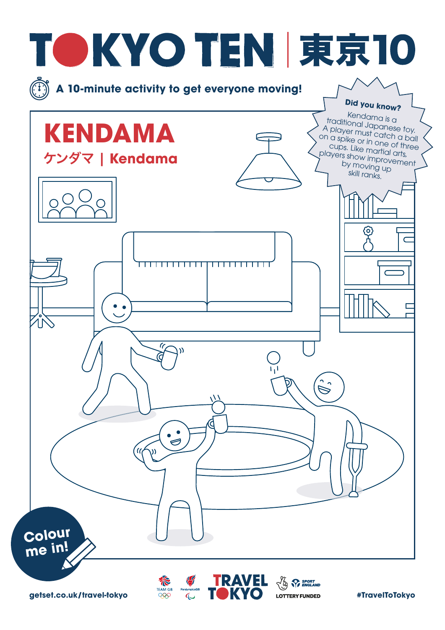